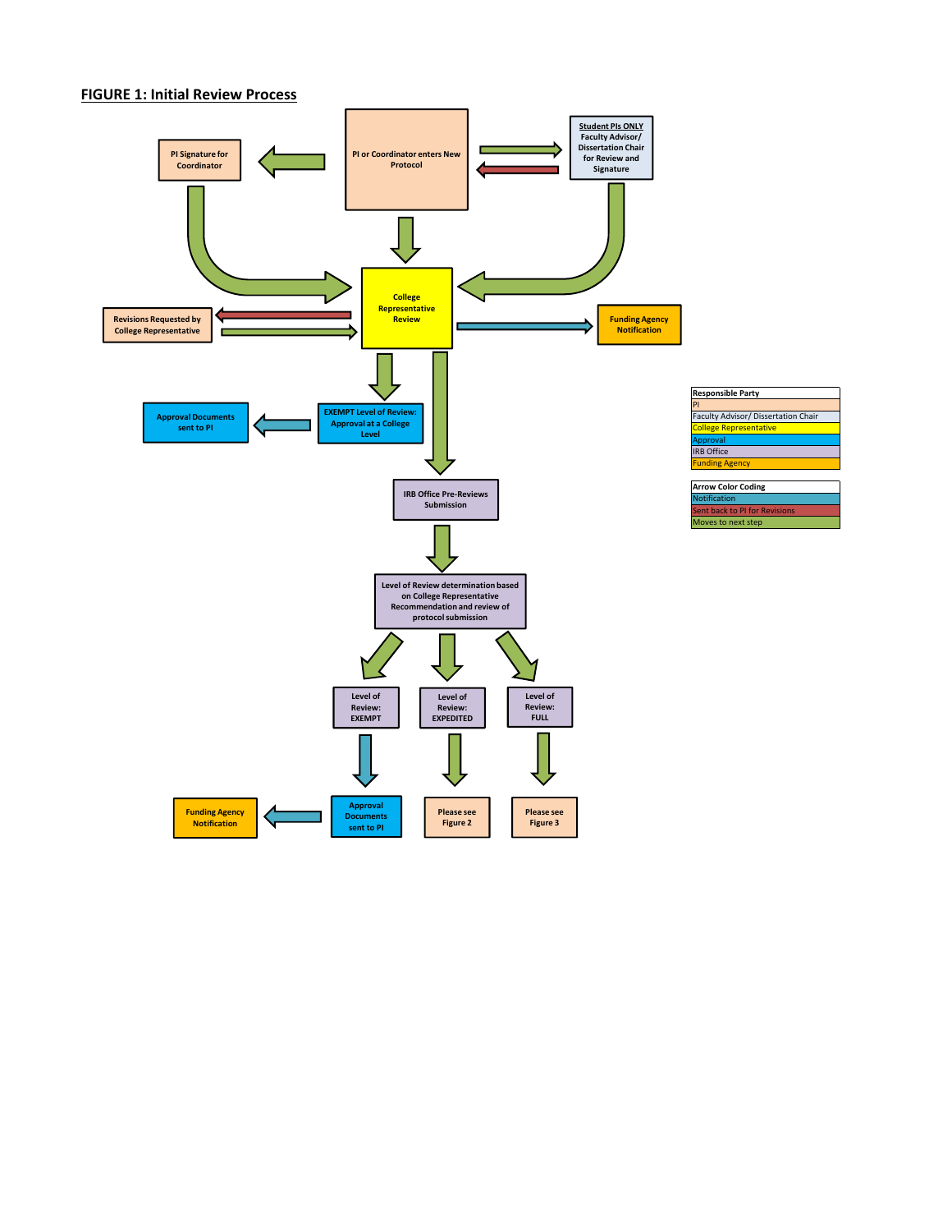## **FIGURE 1: Initial Review Process**

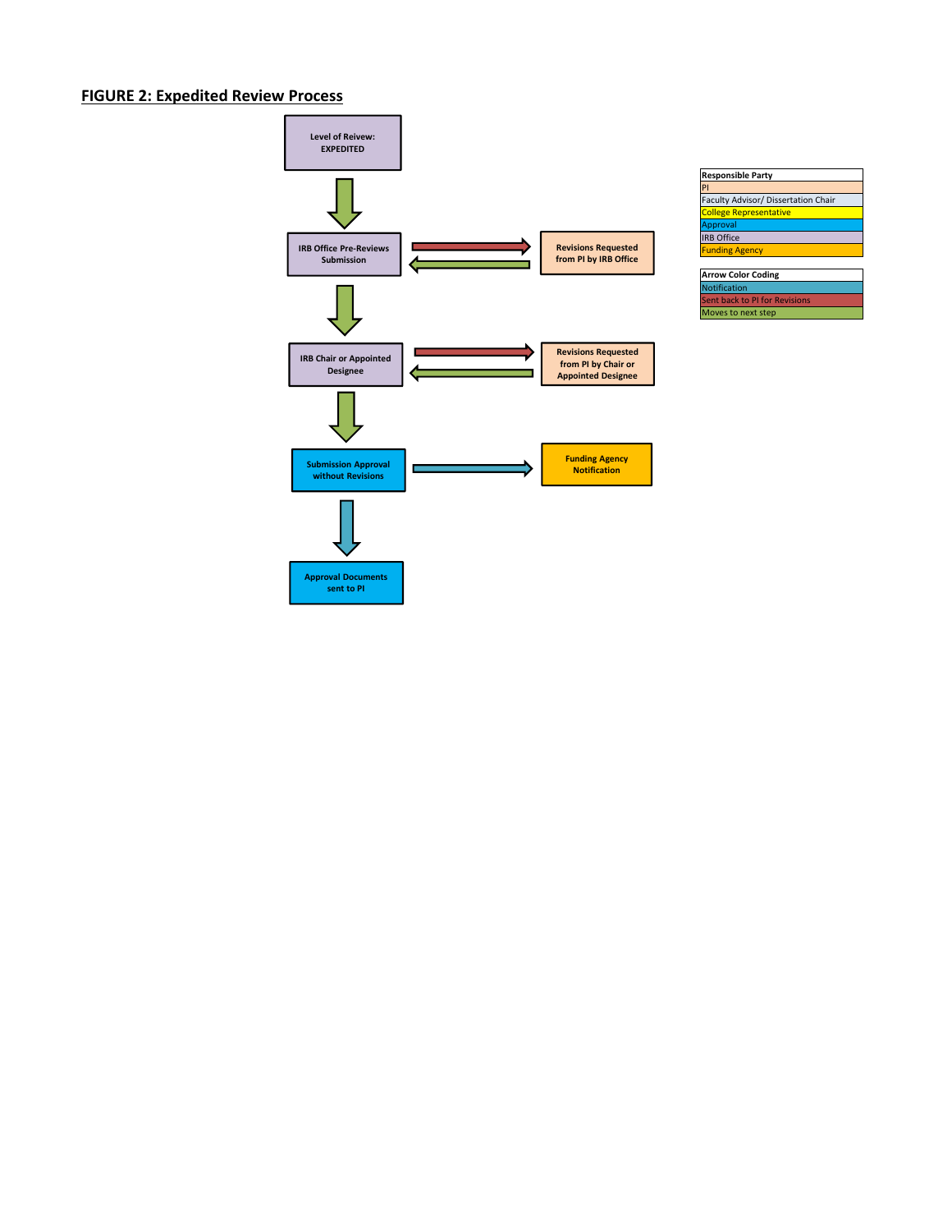## **FIGURE 2: Expedited Review Process**



| <b>Responsible Party</b>            |
|-------------------------------------|
| PI                                  |
| Faculty Advisor/ Dissertation Chair |
| <b>College Representative</b>       |
| <b>Approval</b>                     |
| <b>IRB</b> Office                   |
| <b>Funding Agency</b>               |
|                                     |
| <b>Arrow Color Coding</b>           |
| Notification                        |
| Sent back to PI for Revisions       |

Moves to next step